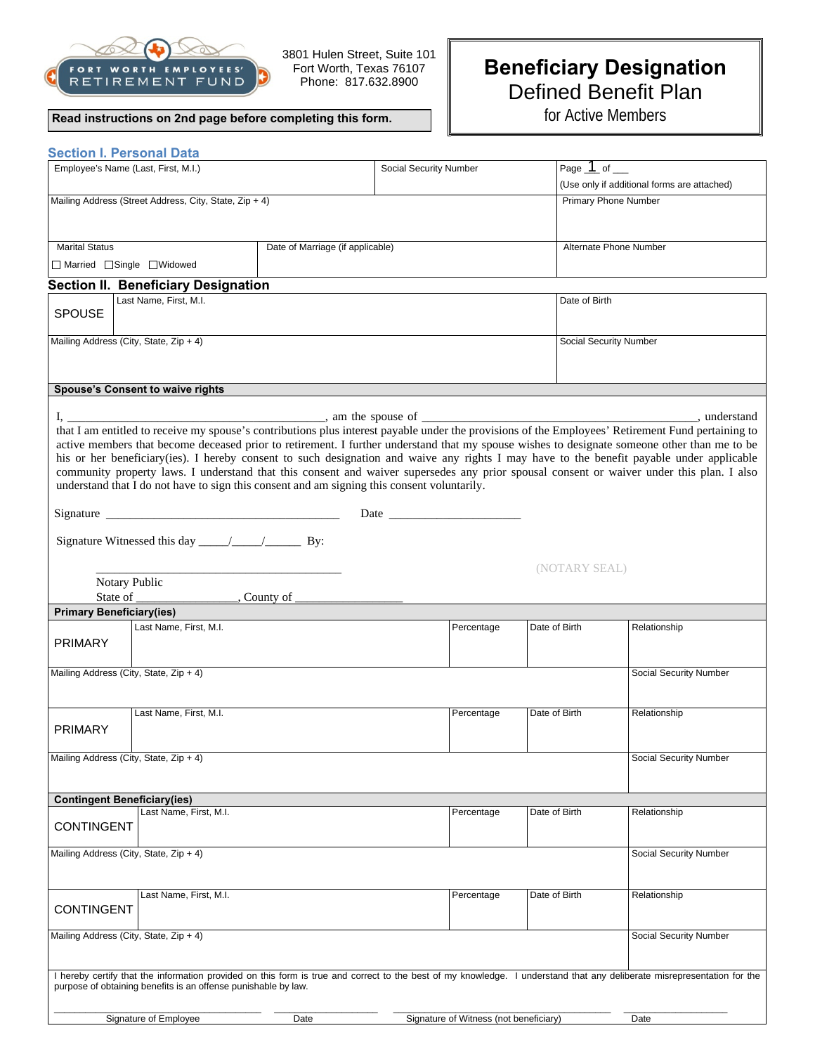

 3801 Hulen Street, Suite 101 Fort Worth, Texas 76107 Phone: 817.632.8900

## **Read instructions on 2nd page before completing this form.**

## **Beneficiary Designation**  Defined Benefit Plan

for Active Members

|                                                                                                                                                                                                                                                                                                                                                                                                                           | <b>Section I. Personal Data</b>        |      |                                        |               |                                             |  |
|---------------------------------------------------------------------------------------------------------------------------------------------------------------------------------------------------------------------------------------------------------------------------------------------------------------------------------------------------------------------------------------------------------------------------|----------------------------------------|------|----------------------------------------|---------------|---------------------------------------------|--|
| Employee's Name (Last, First, M.I.)                                                                                                                                                                                                                                                                                                                                                                                       |                                        |      | Social Security Number                 |               | Page $1$ of $-$                             |  |
|                                                                                                                                                                                                                                                                                                                                                                                                                           |                                        |      |                                        |               | (Use only if additional forms are attached) |  |
| Mailing Address (Street Address, City, State, Zip + 4)                                                                                                                                                                                                                                                                                                                                                                    |                                        |      |                                        |               | <b>Primary Phone Number</b>                 |  |
|                                                                                                                                                                                                                                                                                                                                                                                                                           |                                        |      |                                        |               |                                             |  |
| <b>Marital Status</b><br>Date of Marriage (if applicable)                                                                                                                                                                                                                                                                                                                                                                 |                                        |      |                                        |               | Alternate Phone Number                      |  |
| □ Married □ Single □ Widowed                                                                                                                                                                                                                                                                                                                                                                                              |                                        |      |                                        |               |                                             |  |
| <b>Section II. Beneficiary Designation</b>                                                                                                                                                                                                                                                                                                                                                                                |                                        |      |                                        |               |                                             |  |
|                                                                                                                                                                                                                                                                                                                                                                                                                           | Last Name, First, M.I.                 |      |                                        |               | Date of Birth                               |  |
| <b>SPOUSE</b>                                                                                                                                                                                                                                                                                                                                                                                                             |                                        |      |                                        |               |                                             |  |
| Mailing Address (City, State, Zip + 4)                                                                                                                                                                                                                                                                                                                                                                                    |                                        |      |                                        |               | Social Security Number                      |  |
|                                                                                                                                                                                                                                                                                                                                                                                                                           |                                        |      |                                        |               |                                             |  |
|                                                                                                                                                                                                                                                                                                                                                                                                                           |                                        |      |                                        |               |                                             |  |
| <b>Spouse's Consent to waive rights</b>                                                                                                                                                                                                                                                                                                                                                                                   |                                        |      |                                        |               |                                             |  |
|                                                                                                                                                                                                                                                                                                                                                                                                                           |                                        |      |                                        |               |                                             |  |
| that I am entitled to receive my spouse's contributions plus interest payable under the provisions of the Employees' Retirement Fund pertaining to                                                                                                                                                                                                                                                                        |                                        |      |                                        |               |                                             |  |
| active members that become deceased prior to retirement. I further understand that my spouse wishes to designate someone other than me to be                                                                                                                                                                                                                                                                              |                                        |      |                                        |               |                                             |  |
| his or her beneficiary(ies). I hereby consent to such designation and waive any rights I may have to the benefit payable under applicable                                                                                                                                                                                                                                                                                 |                                        |      |                                        |               |                                             |  |
| community property laws. I understand that this consent and waiver supersedes any prior spousal consent or waiver under this plan. I also                                                                                                                                                                                                                                                                                 |                                        |      |                                        |               |                                             |  |
| understand that I do not have to sign this consent and am signing this consent voluntarily.                                                                                                                                                                                                                                                                                                                               |                                        |      |                                        |               |                                             |  |
| Signature $\frac{1}{\sqrt{1-\frac{1}{\sqrt{1-\frac{1}{\sqrt{1-\frac{1}{\sqrt{1-\frac{1}{\sqrt{1-\frac{1}{\sqrt{1-\frac{1}{\sqrt{1-\frac{1}{\sqrt{1-\frac{1}{\sqrt{1-\frac{1}{\sqrt{1-\frac{1}{\sqrt{1-\frac{1}{\sqrt{1-\frac{1}{\sqrt{1-\frac{1}{\sqrt{1-\frac{1}{\sqrt{1-\frac{1}{\sqrt{1-\frac{1}{\sqrt{1-\frac{1}{\sqrt{1-\frac{1}{\sqrt{1-\frac{1}{\sqrt{1-\frac{1}{\sqrt{1-\frac{1}{\sqrt{1-\frac{1}{\sqrt{1-\frac{$ |                                        |      |                                        |               |                                             |  |
|                                                                                                                                                                                                                                                                                                                                                                                                                           |                                        |      |                                        |               |                                             |  |
|                                                                                                                                                                                                                                                                                                                                                                                                                           |                                        |      |                                        |               |                                             |  |
| (NOTARY SEAL)<br>Notary Public                                                                                                                                                                                                                                                                                                                                                                                            |                                        |      |                                        |               |                                             |  |
|                                                                                                                                                                                                                                                                                                                                                                                                                           |                                        |      |                                        |               |                                             |  |
| <b>Primary Beneficiary(ies)</b>                                                                                                                                                                                                                                                                                                                                                                                           |                                        |      |                                        |               |                                             |  |
|                                                                                                                                                                                                                                                                                                                                                                                                                           | Last Name, First, M.I.                 |      | Percentage                             | Date of Birth | Relationship                                |  |
| <b>PRIMARY</b>                                                                                                                                                                                                                                                                                                                                                                                                            |                                        |      |                                        |               |                                             |  |
| Mailing Address (City, State, Zip + 4)                                                                                                                                                                                                                                                                                                                                                                                    |                                        |      |                                        |               | Social Security Number                      |  |
|                                                                                                                                                                                                                                                                                                                                                                                                                           |                                        |      |                                        |               |                                             |  |
|                                                                                                                                                                                                                                                                                                                                                                                                                           |                                        |      |                                        |               |                                             |  |
|                                                                                                                                                                                                                                                                                                                                                                                                                           | Last Name, First, M.I.                 |      | Percentage                             | Date of Birth | Relationship                                |  |
| <b>PRIMARY</b>                                                                                                                                                                                                                                                                                                                                                                                                            |                                        |      |                                        |               |                                             |  |
|                                                                                                                                                                                                                                                                                                                                                                                                                           | Mailing Address (City, State, Zip + 4) |      |                                        |               | Social Security Number                      |  |
|                                                                                                                                                                                                                                                                                                                                                                                                                           |                                        |      |                                        |               |                                             |  |
|                                                                                                                                                                                                                                                                                                                                                                                                                           | <b>Contingent Beneficiary(ies)</b>     |      |                                        |               |                                             |  |
|                                                                                                                                                                                                                                                                                                                                                                                                                           | Last Name, First, M.I.                 |      | Percentage                             | Date of Birth | Relationship                                |  |
| <b>CONTINGENT</b>                                                                                                                                                                                                                                                                                                                                                                                                         |                                        |      |                                        |               |                                             |  |
|                                                                                                                                                                                                                                                                                                                                                                                                                           | Mailing Address (City, State, Zip + 4) |      |                                        |               | Social Security Number                      |  |
|                                                                                                                                                                                                                                                                                                                                                                                                                           |                                        |      |                                        |               |                                             |  |
|                                                                                                                                                                                                                                                                                                                                                                                                                           | Last Name, First, M.I.                 |      | Percentage                             | Date of Birth | Relationship                                |  |
| <b>CONTINGENT</b>                                                                                                                                                                                                                                                                                                                                                                                                         |                                        |      |                                        |               |                                             |  |
|                                                                                                                                                                                                                                                                                                                                                                                                                           |                                        |      |                                        |               |                                             |  |
| Mailing Address (City, State, Zip + 4)<br>Social Security Number                                                                                                                                                                                                                                                                                                                                                          |                                        |      |                                        |               |                                             |  |
|                                                                                                                                                                                                                                                                                                                                                                                                                           |                                        |      |                                        |               |                                             |  |
| I hereby certify that the information provided on this form is true and correct to the best of my knowledge. I understand that any deliberate misrepresentation for the<br>purpose of obtaining benefits is an offense punishable by law.                                                                                                                                                                                 |                                        |      |                                        |               |                                             |  |
|                                                                                                                                                                                                                                                                                                                                                                                                                           |                                        |      |                                        |               |                                             |  |
|                                                                                                                                                                                                                                                                                                                                                                                                                           | Signature of Employee                  | Date | Signature of Witness (not beneficiary) |               | Date                                        |  |
|                                                                                                                                                                                                                                                                                                                                                                                                                           |                                        |      |                                        |               |                                             |  |